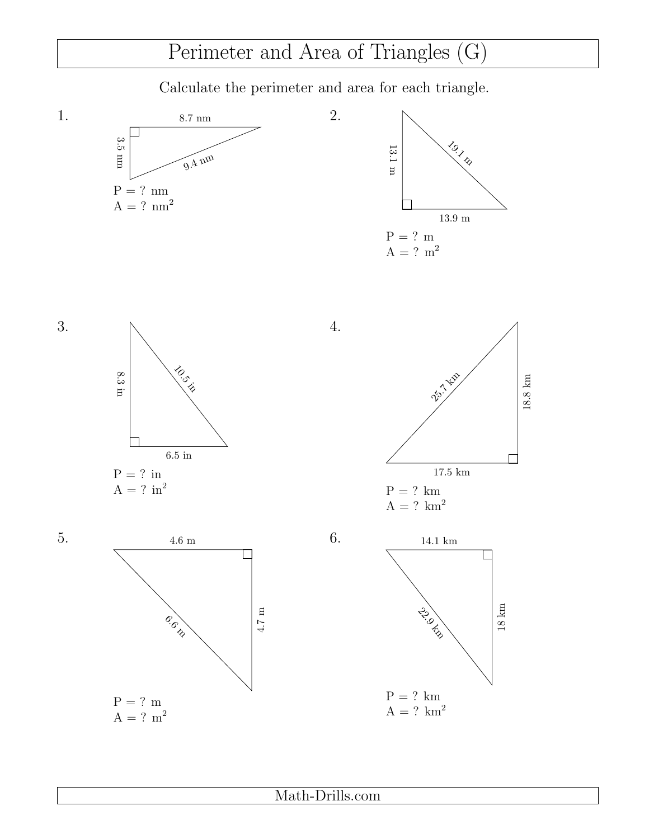## Perimeter and Area of Triangles (G)

Calculate the perimeter and area for each triangle.